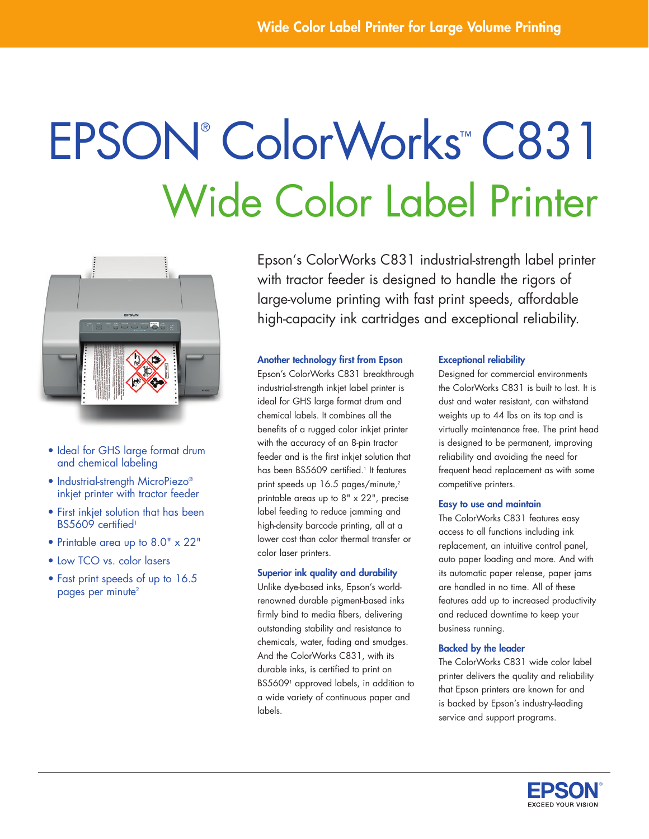# Epson® ColorWorks ™ C831 Wide Color Label Printer



- Ideal for GHS large format drum and chemical labeling
- Industrial-strength MicroPiezo® inkjet printer with tractor feeder
- First inkjet solution that has been BS5609 certified<sup>1</sup>
- • Printable area up to 8.0" x 22"
- Low TCO vs. color lasers
- Fast print speeds of up to 16.5 pages per minute<sup>2</sup>

Epson's ColorWorks C831 industrial-strength label printer with tractor feeder is designed to handle the rigors of large-volume printing with fast print speeds, affordable high-capacity ink cartridges and exceptional reliability.

# Another technology first from Epson

Epson's ColorWorks C831 breakthrough industrial-strength inkjet label printer is ideal for GHS large format drum and chemical labels. It combines all the benefits of a rugged color inkjet printer with the accuracy of an 8-pin tractor feeder and is the first inkjet solution that has been BS5609 certified.1 It features print speeds up 16.5 pages/minute,<sup>2</sup> printable areas up to 8" x 22", precise label feeding to reduce jamming and high-density barcode printing, all at a lower cost than color thermal transfer or color laser printers.

# Superior ink quality and durability

Unlike dye-based inks, Epson's worldrenowned durable pigment-based inks firmly bind to media fibers, delivering outstanding stability and resistance to chemicals, water, fading and smudges. And the ColorWorks C831, with its durable inks, is certified to print on BS56091 approved labels, in addition to a wide variety of continuous paper and labels.

# Exceptional reliability

Designed for commercial environments the ColorWorks C831 is built to last. It is dust and water resistant, can withstand weights up to 44 lbs on its top and is virtually maintenance free. The print head is designed to be permanent, improving reliability and avoiding the need for frequent head replacement as with some competitive printers.

# Easy to use and maintain

The ColorWorks C831 features easy access to all functions including ink replacement, an intuitive control panel, auto paper loading and more. And with its automatic paper release, paper jams are handled in no time. All of these features add up to increased productivity and reduced downtime to keep your business running.

# Backed by the leader

The ColorWorks C831 wide color label printer delivers the quality and reliability that Epson printers are known for and is backed by Epson's industry-leading service and support programs.